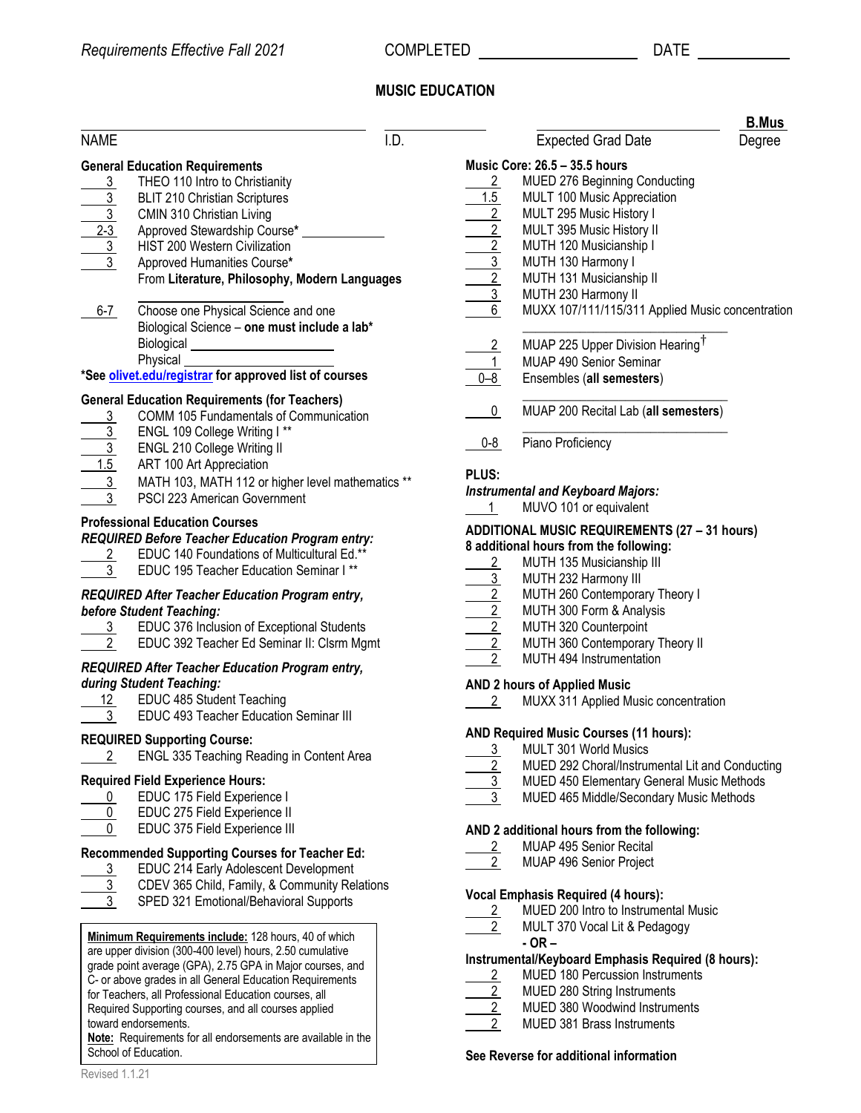## **MUSIC EDUCATION**

|                                                 |                                                                                                |      |                 |                                                      | <u>B.Mus</u> |
|-------------------------------------------------|------------------------------------------------------------------------------------------------|------|-----------------|------------------------------------------------------|--------------|
| <b>NAME</b>                                     |                                                                                                | I.D. |                 | <b>Expected Grad Date</b>                            | Degree       |
|                                                 | <b>General Education Requirements</b>                                                          |      |                 | Music Core: 26.5 - 35.5 hours                        |              |
| $\overline{3}$                                  | THEO 110 Intro to Christianity                                                                 |      | $\overline{2}$  | <b>MUED 276 Beginning Conducting</b>                 |              |
| $\overline{3}$                                  | <b>BLIT 210 Christian Scriptures</b>                                                           |      | 1.5             | MULT 100 Music Appreciation                          |              |
| $\frac{\frac{1}{3}}{\frac{2-3}{3}}$             | CMIN 310 Christian Living                                                                      |      | $\overline{2}$  | MULT 295 Music History I                             |              |
|                                                 | Approved Stewardship Course*                                                                   |      | $\overline{2}$  | MULT 395 Music History II                            |              |
|                                                 | HIST 200 Western Civilization                                                                  |      | $\overline{2}$  | MUTH 120 Musicianship I                              |              |
|                                                 |                                                                                                |      |                 |                                                      |              |
|                                                 | Approved Humanities Course*                                                                    |      | $\frac{3}{2}$   | MUTH 130 Harmony I                                   |              |
|                                                 | From Literature, Philosophy, Modern Languages                                                  |      |                 | MUTH 131 Musicianship II                             |              |
|                                                 |                                                                                                |      | $\overline{3}$  | MUTH 230 Harmony II                                  |              |
| $6 - 7$                                         | Choose one Physical Science and one                                                            |      | $6\overline{6}$ | MUXX 107/111/115/311 Applied Music concentrati       |              |
|                                                 | Biological Science - one must include a lab*                                                   |      |                 |                                                      |              |
|                                                 | <b>Biological</b>                                                                              |      |                 | MUAP 225 Upper Division Hearing <sup>T</sup>         |              |
|                                                 | Physical                                                                                       |      | $rac{2}{1}$     | MUAP 490 Senior Seminar                              |              |
|                                                 | *See olivet.edu/registrar for approved list of courses                                         |      | $0 - 8$         | Ensembles (all semesters)                            |              |
|                                                 |                                                                                                |      |                 |                                                      |              |
| $\overline{3}$                                  | <b>General Education Requirements (for Teachers)</b><br>COMM 105 Fundamentals of Communication |      | $\overline{0}$  | MUAP 200 Recital Lab (all semesters)                 |              |
|                                                 | ENGL 109 College Writing I**                                                                   |      |                 |                                                      |              |
|                                                 |                                                                                                |      | $0 - 8$         | Piano Proficiency                                    |              |
|                                                 | ENGL 210 College Writing II                                                                    |      |                 |                                                      |              |
|                                                 | ART 100 Art Appreciation                                                                       |      | PLUS:           |                                                      |              |
| $\frac{3}{\frac{3}{1.5}}$                       | MATH 103, MATH 112 or higher level mathematics **                                              |      |                 | <b>Instrumental and Keyboard Majors:</b>             |              |
|                                                 | PSCI 223 American Government                                                                   |      |                 | MUVO 101 or equivalent                               |              |
|                                                 | <b>Professional Education Courses</b>                                                          |      |                 | <b>ADDITIONAL MUSIC REQUIREMENTS (27 - 31 hours)</b> |              |
|                                                 | <b>REQUIRED Before Teacher Education Program entry:</b>                                        |      |                 |                                                      |              |
| 2                                               | EDUC 140 Foundations of Multicultural Ed.**                                                    |      |                 | 8 additional hours from the following:               |              |
| 3 <sup>1</sup>                                  | EDUC 195 Teacher Education Seminar I**                                                         |      | $\overline{2}$  | MUTH 135 Musicianship III                            |              |
|                                                 |                                                                                                |      |                 | MUTH 232 Harmony III                                 |              |
| REQUIRED After Teacher Education Program entry, |                                                                                                |      | 2               | MUTH 260 Contemporary Theory I                       |              |
|                                                 | before Student Teaching:                                                                       |      | 2               | MUTH 300 Form & Analysis                             |              |
| $3 \quad$                                       | EDUC 376 Inclusion of Exceptional Students                                                     |      | $\overline{2}$  | MUTH 320 Counterpoint                                |              |
| $2^{\circ}$                                     | EDUC 392 Teacher Ed Seminar II: Clsrm Mgmt                                                     |      | $\overline{2}$  | MUTH 360 Contemporary Theory II                      |              |
|                                                 |                                                                                                |      |                 | MUTH 494 Instrumentation                             |              |
|                                                 | REQUIRED After Teacher Education Program entry,                                                |      |                 |                                                      |              |
|                                                 | during Student Teaching:                                                                       |      |                 | <b>AND 2 hours of Applied Music</b>                  |              |
| 12                                              | EDUC 485 Student Teaching                                                                      |      | 2               | MUXX 311 Applied Music concentration                 |              |
| 3 <sup>1</sup>                                  | EDUC 493 Teacher Education Seminar III                                                         |      |                 |                                                      |              |
|                                                 | <b>REQUIRED Supporting Course:</b>                                                             |      |                 | AND Required Music Courses (11 hours):               |              |
| $\overline{c}$                                  | ENGL 335 Teaching Reading in Content Area                                                      |      |                 | 3 MULT 301 World Musics                              |              |
|                                                 |                                                                                                |      | $\overline{2}$  | MUED 292 Choral/Instrumental Lit and Conducting      |              |
|                                                 | <b>Required Field Experience Hours:</b>                                                        |      |                 | MUED 450 Elementary General Music Methods            |              |
| 0                                               | EDUC 175 Field Experience I                                                                    |      |                 | MUED 465 Middle/Secondary Music Methods              |              |
| 0                                               | EDUC 275 Field Experience II                                                                   |      |                 |                                                      |              |
| 0                                               | EDUC 375 Field Experience III                                                                  |      |                 | AND 2 additional hours from the following:           |              |
|                                                 |                                                                                                |      |                 |                                                      |              |
|                                                 | <b>Recommended Supporting Courses for Teacher Ed:</b>                                          |      | $\overline{2}$  | MUAP 495 Senior Recital                              |              |
| 3                                               | EDUC 214 Early Adolescent Development                                                          |      | $\overline{2}$  | MUAP 496 Senior Project                              |              |
|                                                 | CDEV 365 Child, Family, & Community Relations                                                  |      |                 |                                                      |              |
|                                                 | SPED 321 Emotional/Behavioral Supports                                                         |      |                 | <b>Vocal Emphasis Required (4 hours):</b>            |              |
|                                                 |                                                                                                |      | $\overline{2}$  | MUED 200 Intro to Instrumental Music                 |              |
|                                                 |                                                                                                |      | $2^{\circ}$     | MULT 370 Vocal Lit & Pedagogy                        |              |
|                                                 | Minimum Requirements include: 128 hours, 40 of which                                           |      |                 | $-OR -$                                              |              |
|                                                 | are upper division (300-400 level) hours, 2.50 cumulative                                      |      |                 | Instrumental/Keyboard Emphasis Required (8 hours):   |              |
|                                                 | grade point average (GPA), 2.75 GPA in Major courses, and                                      |      | $\overline{2}$  | MUED 180 Percussion Instruments                      |              |
|                                                 | C- or above grades in all General Education Requirements                                       |      |                 |                                                      |              |

for Teachers, all Professional Education courses, all Required Supporting courses, and all courses applied toward endorsements. **Note:** Requirements for all endorsements are available in the

School of Education.

|                                                                                           |                                                                                                                                                                                                                                                                                                                | <b>B.Mus</b> |  |  |  |  |
|-------------------------------------------------------------------------------------------|----------------------------------------------------------------------------------------------------------------------------------------------------------------------------------------------------------------------------------------------------------------------------------------------------------------|--------------|--|--|--|--|
|                                                                                           | <b>Expected Grad Date</b>                                                                                                                                                                                                                                                                                      | Degree       |  |  |  |  |
| $\overline{2}$<br>1.5<br>$\frac{2}{2}$ $\frac{2}{3}$ $\frac{3}{6}$                        | Music Core: 26.5 - 35.5 hours<br>MUED 276 Beginning Conducting<br>MULT 100 Music Appreciation<br>MULT 295 Music History I<br>MULT 395 Music History II<br>MUTH 120 Musicianship I<br>MUTH 130 Harmony I<br>MUTH 131 Musicianship II<br>MUTH 230 Harmony II<br>MUXX 107/111/115/311 Applied Music concentration |              |  |  |  |  |
| $\overline{2}$                                                                            | MUAP 225 Upper Division Hearing <sup>†</sup>                                                                                                                                                                                                                                                                   |              |  |  |  |  |
| $\mathbf{1}$                                                                              | <b>MUAP 490 Senior Seminar</b>                                                                                                                                                                                                                                                                                 |              |  |  |  |  |
| $0 - 8$                                                                                   | Ensembles (all semesters)                                                                                                                                                                                                                                                                                      |              |  |  |  |  |
| 0                                                                                         | MUAP 200 Recital Lab (all semesters)                                                                                                                                                                                                                                                                           |              |  |  |  |  |
| 0-8                                                                                       | Piano Proficiency                                                                                                                                                                                                                                                                                              |              |  |  |  |  |
| PLUS:<br>1.                                                                               | <b>Instrumental and Keyboard Majors:</b><br>MUVO 101 or equivalent                                                                                                                                                                                                                                             |              |  |  |  |  |
|                                                                                           | ADDITIONAL MUSIC REQUIREMENTS (27 - 31 hours)                                                                                                                                                                                                                                                                  |              |  |  |  |  |
|                                                                                           | 8 additional hours from the following:                                                                                                                                                                                                                                                                         |              |  |  |  |  |
| $\overline{2}$                                                                            | MUTH 135 Musicianship III                                                                                                                                                                                                                                                                                      |              |  |  |  |  |
|                                                                                           | MUTH 232 Harmony III                                                                                                                                                                                                                                                                                           |              |  |  |  |  |
|                                                                                           | MUTH 260 Contemporary Theory I                                                                                                                                                                                                                                                                                 |              |  |  |  |  |
| $\frac{3}{2}$ $\frac{2}{2}$ $\frac{2}{2}$                                                 | MUTH 300 Form & Analysis<br>MUTH 320 Counterpoint                                                                                                                                                                                                                                                              |              |  |  |  |  |
|                                                                                           | MUTH 360 Contemporary Theory II                                                                                                                                                                                                                                                                                |              |  |  |  |  |
| $\overline{2}$                                                                            | MUTH 494 Instrumentation                                                                                                                                                                                                                                                                                       |              |  |  |  |  |
|                                                                                           | <b>AND 2 hours of Applied Music</b>                                                                                                                                                                                                                                                                            |              |  |  |  |  |
| 2                                                                                         | MUXX 311 Applied Music concentration                                                                                                                                                                                                                                                                           |              |  |  |  |  |
| <b>AND Required Music Courses (11 hours):</b><br><u>3</u><br><b>MULT 301 World Musics</b> |                                                                                                                                                                                                                                                                                                                |              |  |  |  |  |
|                                                                                           | MUED 292 Choral/Instrumental Lit and Conducting                                                                                                                                                                                                                                                                |              |  |  |  |  |
| $\frac{2}{3}$                                                                             | MUED 450 Elementary General Music Methods                                                                                                                                                                                                                                                                      |              |  |  |  |  |
| $\overline{3}$                                                                            | MUED 465 Middle/Secondary Music Methods                                                                                                                                                                                                                                                                        |              |  |  |  |  |
|                                                                                           | AND 2 additional hours from the following:                                                                                                                                                                                                                                                                     |              |  |  |  |  |
| $\overline{2}$<br>$\overline{2}$                                                          | MUAP 495 Senior Recital<br>MUAP 496 Senior Project                                                                                                                                                                                                                                                             |              |  |  |  |  |
|                                                                                           |                                                                                                                                                                                                                                                                                                                |              |  |  |  |  |
| $\mathbf{2}$                                                                              | <b>Vocal Emphasis Required (4 hours):</b><br>MUED 200 Intro to Instrumental Music                                                                                                                                                                                                                              |              |  |  |  |  |
| $2-$                                                                                      | MULT 370 Vocal Lit & Pedagogy                                                                                                                                                                                                                                                                                  |              |  |  |  |  |
|                                                                                           | - OR –<br>Instrumental/Keyboard Emphasis Required (8 hours):                                                                                                                                                                                                                                                   |              |  |  |  |  |
| $\overline{2}$                                                                            | <b>MUED 180 Percussion Instruments</b>                                                                                                                                                                                                                                                                         |              |  |  |  |  |
|                                                                                           | MUED 280 String Instruments                                                                                                                                                                                                                                                                                    |              |  |  |  |  |
| $\frac{2}{2}$                                                                             | MUED 380 Woodwind Instruments                                                                                                                                                                                                                                                                                  |              |  |  |  |  |
|                                                                                           | <b>MUED 381 Brass Instruments</b>                                                                                                                                                                                                                                                                              |              |  |  |  |  |
|                                                                                           |                                                                                                                                                                                                                                                                                                                |              |  |  |  |  |

**See Reverse for additional information**